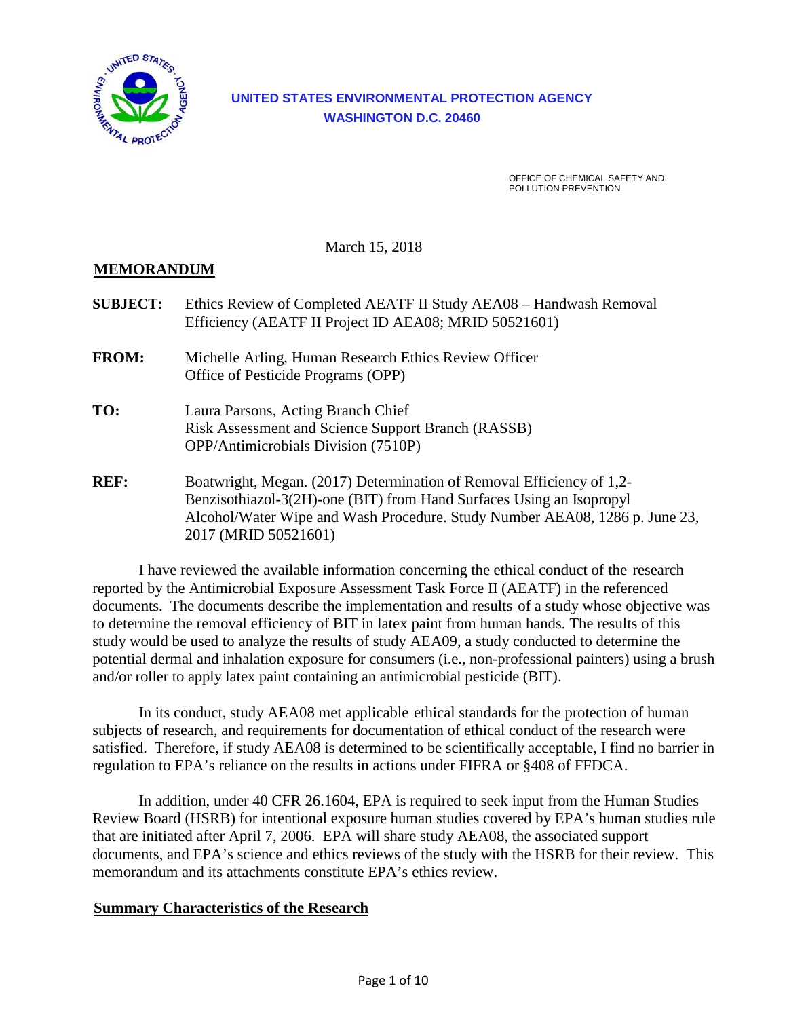

# **UNITED STATES ENVIRONMENTAL PROTECTION AGENCY WASHINGTON D.C. 20460**

OFFICE OF CHEMICAL SAFETY AND POLLUTION PREVENTION

March 15, 2018

### **MEMORANDUM**

| <b>SUBJECT:</b> | Ethics Review of Completed AEATF II Study AEA08 - Handwash Removal<br>Efficiency (AEATF II Project ID AEA08; MRID 50521601)                                                                                                                          |
|-----------------|------------------------------------------------------------------------------------------------------------------------------------------------------------------------------------------------------------------------------------------------------|
| <b>FROM:</b>    | Michelle Arling, Human Research Ethics Review Officer<br>Office of Pesticide Programs (OPP)                                                                                                                                                          |
| TO:             | Laura Parsons, Acting Branch Chief<br>Risk Assessment and Science Support Branch (RASSB)<br><b>OPP/Antimicrobials Division (7510P)</b>                                                                                                               |
| <b>REF:</b>     | Boatwright, Megan. (2017) Determination of Removal Efficiency of 1,2-<br>Benzisothiazol-3(2H)-one (BIT) from Hand Surfaces Using an Isopropyl<br>Alcohol/Water Wipe and Wash Procedure. Study Number AEA08, 1286 p. June 23,<br>2017 (MRID 50521601) |

I have reviewed the available information concerning the ethical conduct of the research reported by the Antimicrobial Exposure Assessment Task Force II (AEATF) in the referenced documents. The documents describe the implementation and results of a study whose objective was to determine the removal efficiency of BIT in latex paint from human hands. The results of this study would be used to analyze the results of study AEA09, a study conducted to determine the potential dermal and inhalation exposure for consumers (i.e., non-professional painters) using a brush and/or roller to apply latex paint containing an antimicrobial pesticide (BIT).

In its conduct, study AEA08 met applicable ethical standards for the protection of human subjects of research, and requirements for documentation of ethical conduct of the research were satisfied. Therefore, if study AEA08 is determined to be scientifically acceptable, I find no barrier in regulation to EPA's reliance on the results in actions under FIFRA or §408 of FFDCA.

In addition, under 40 CFR 26.1604, EPA is required to seek input from the Human Studies Review Board (HSRB) for intentional exposure human studies covered by EPA's human studies rule that are initiated after April 7, 2006. EPA will share study AEA08, the associated support documents, and EPA's science and ethics reviews of the study with the HSRB for their review. This memorandum and its attachments constitute EPA's ethics review.

#### **Summary Characteristics of the Research**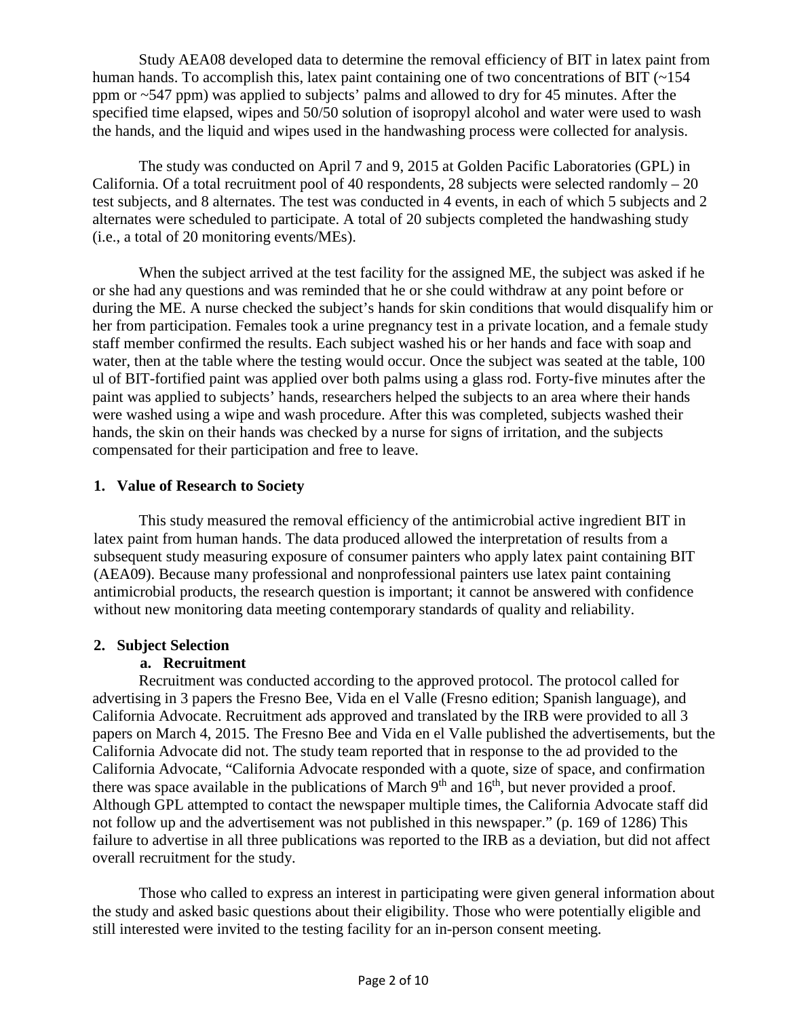Study AEA08 developed data to determine the removal efficiency of BIT in latex paint from human hands. To accomplish this, latex paint containing one of two concentrations of BIT (~154) ppm or ~547 ppm) was applied to subjects' palms and allowed to dry for 45 minutes. After the specified time elapsed, wipes and 50/50 solution of isopropyl alcohol and water were used to wash the hands, and the liquid and wipes used in the handwashing process were collected for analysis.

The study was conducted on April 7 and 9, 2015 at Golden Pacific Laboratories (GPL) in California. Of a total recruitment pool of 40 respondents, 28 subjects were selected randomly  $-20$ test subjects, and 8 alternates. The test was conducted in 4 events, in each of which 5 subjects and 2 alternates were scheduled to participate. A total of 20 subjects completed the handwashing study (i.e., a total of 20 monitoring events/MEs).

When the subject arrived at the test facility for the assigned ME, the subject was asked if he or she had any questions and was reminded that he or she could withdraw at any point before or during the ME. A nurse checked the subject's hands for skin conditions that would disqualify him or her from participation. Females took a urine pregnancy test in a private location, and a female study staff member confirmed the results. Each subject washed his or her hands and face with soap and water, then at the table where the testing would occur. Once the subject was seated at the table, 100 ul of BIT-fortified paint was applied over both palms using a glass rod. Forty-five minutes after the paint was applied to subjects' hands, researchers helped the subjects to an area where their hands were washed using a wipe and wash procedure. After this was completed, subjects washed their hands, the skin on their hands was checked by a nurse for signs of irritation, and the subjects compensated for their participation and free to leave.

#### **1. Value of Research to Society**

This study measured the removal efficiency of the antimicrobial active ingredient BIT in latex paint from human hands. The data produced allowed the interpretation of results from a subsequent study measuring exposure of consumer painters who apply latex paint containing BIT (AEA09). Because many professional and nonprofessional painters use latex paint containing antimicrobial products, the research question is important; it cannot be answered with confidence without new monitoring data meeting contemporary standards of quality and reliability.

#### **2. Subject Selection**

#### **a. Recruitment**

Recruitment was conducted according to the approved protocol. The protocol called for advertising in 3 papers the Fresno Bee, Vida en el Valle (Fresno edition; Spanish language), and California Advocate. Recruitment ads approved and translated by the IRB were provided to all 3 papers on March 4, 2015. The Fresno Bee and Vida en el Valle published the advertisements, but the California Advocate did not. The study team reported that in response to the ad provided to the California Advocate, "California Advocate responded with a quote, size of space, and confirmation there was space available in the publications of March 9<sup>th</sup> and 16<sup>th</sup>, but never provided a proof. Although GPL attempted to contact the newspaper multiple times, the California Advocate staff did not follow up and the advertisement was not published in this newspaper." (p. 169 of 1286) This failure to advertise in all three publications was reported to the IRB as a deviation, but did not affect overall recruitment for the study.

Those who called to express an interest in participating were given general information about the study and asked basic questions about their eligibility. Those who were potentially eligible and still interested were invited to the testing facility for an in-person consent meeting.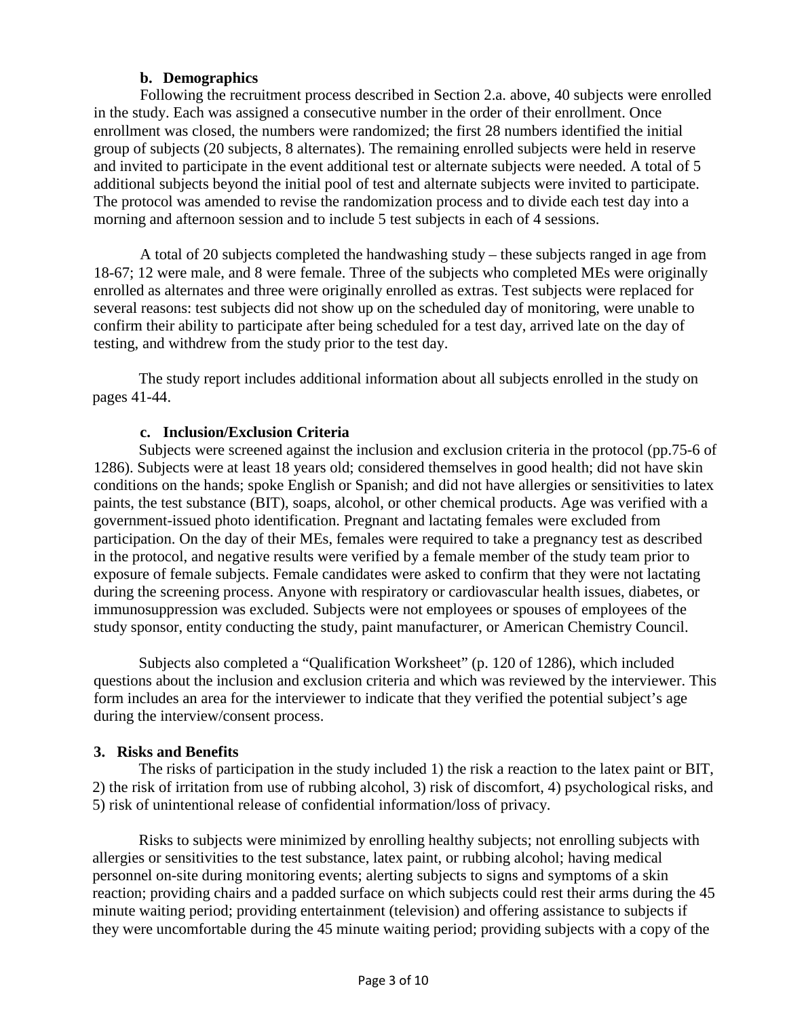## **b. Demographics**

Following the recruitment process described in Section 2.a. above, 40 subjects were enrolled in the study. Each was assigned a consecutive number in the order of their enrollment. Once enrollment was closed, the numbers were randomized; the first 28 numbers identified the initial group of subjects (20 subjects, 8 alternates). The remaining enrolled subjects were held in reserve and invited to participate in the event additional test or alternate subjects were needed. A total of 5 additional subjects beyond the initial pool of test and alternate subjects were invited to participate. The protocol was amended to revise the randomization process and to divide each test day into a morning and afternoon session and to include 5 test subjects in each of 4 sessions.

A total of 20 subjects completed the handwashing study – these subjects ranged in age from 18-67; 12 were male, and 8 were female. Three of the subjects who completed MEs were originally enrolled as alternates and three were originally enrolled as extras. Test subjects were replaced for several reasons: test subjects did not show up on the scheduled day of monitoring, were unable to confirm their ability to participate after being scheduled for a test day, arrived late on the day of testing, and withdrew from the study prior to the test day.

The study report includes additional information about all subjects enrolled in the study on pages 41-44.

#### **c. Inclusion/Exclusion Criteria**

Subjects were screened against the inclusion and exclusion criteria in the protocol (pp.75-6 of 1286). Subjects were at least 18 years old; considered themselves in good health; did not have skin conditions on the hands; spoke English or Spanish; and did not have allergies or sensitivities to latex paints, the test substance (BIT), soaps, alcohol, or other chemical products. Age was verified with a government-issued photo identification. Pregnant and lactating females were excluded from participation. On the day of their MEs, females were required to take a pregnancy test as described in the protocol, and negative results were verified by a female member of the study team prior to exposure of female subjects. Female candidates were asked to confirm that they were not lactating during the screening process. Anyone with respiratory or cardiovascular health issues, diabetes, or immunosuppression was excluded. Subjects were not employees or spouses of employees of the study sponsor, entity conducting the study, paint manufacturer, or American Chemistry Council.

Subjects also completed a "Qualification Worksheet" (p. 120 of 1286), which included questions about the inclusion and exclusion criteria and which was reviewed by the interviewer. This form includes an area for the interviewer to indicate that they verified the potential subject's age during the interview/consent process.

#### **3. Risks and Benefits**

The risks of participation in the study included 1) the risk a reaction to the latex paint or BIT, 2) the risk of irritation from use of rubbing alcohol, 3) risk of discomfort, 4) psychological risks, and 5) risk of unintentional release of confidential information/loss of privacy.

Risks to subjects were minimized by enrolling healthy subjects; not enrolling subjects with allergies or sensitivities to the test substance, latex paint, or rubbing alcohol; having medical personnel on-site during monitoring events; alerting subjects to signs and symptoms of a skin reaction; providing chairs and a padded surface on which subjects could rest their arms during the 45 minute waiting period; providing entertainment (television) and offering assistance to subjects if they were uncomfortable during the 45 minute waiting period; providing subjects with a copy of the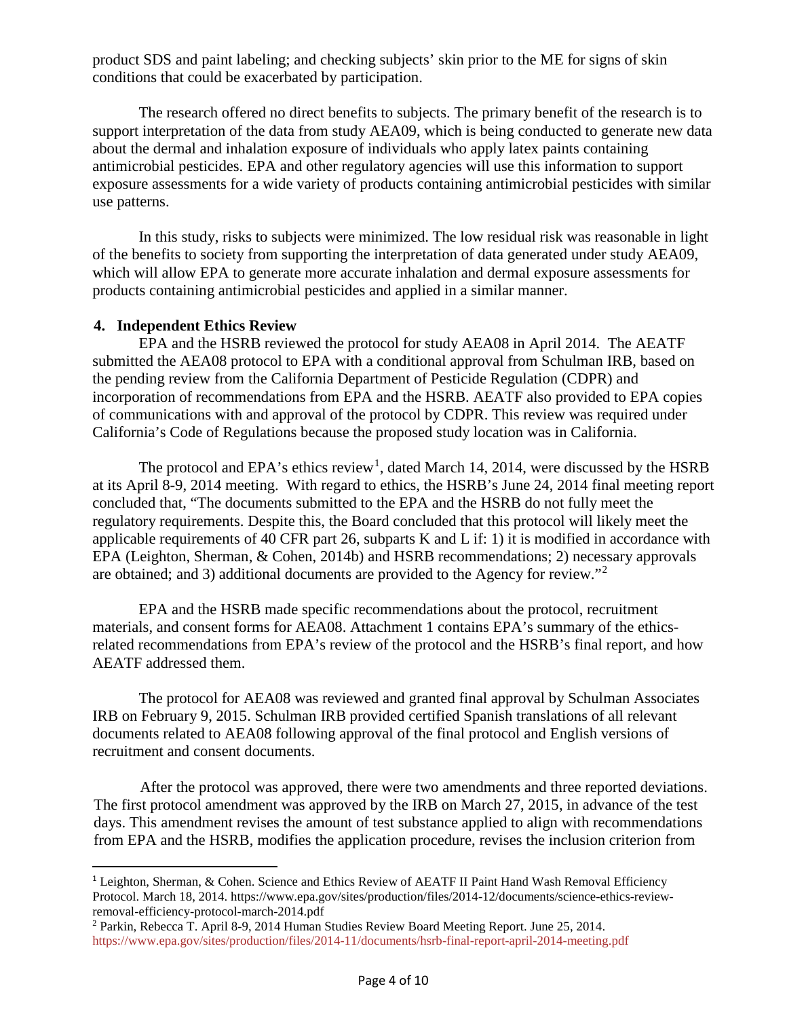product SDS and paint labeling; and checking subjects' skin prior to the ME for signs of skin conditions that could be exacerbated by participation.

The research offered no direct benefits to subjects. The primary benefit of the research is to support interpretation of the data from study AEA09, which is being conducted to generate new data about the dermal and inhalation exposure of individuals who apply latex paints containing antimicrobial pesticides. EPA and other regulatory agencies will use this information to support exposure assessments for a wide variety of products containing antimicrobial pesticides with similar use patterns.

In this study, risks to subjects were minimized. The low residual risk was reasonable in light of the benefits to society from supporting the interpretation of data generated under study AEA09, which will allow EPA to generate more accurate inhalation and dermal exposure assessments for products containing antimicrobial pesticides and applied in a similar manner.

#### **4. Independent Ethics Review**

EPA and the HSRB reviewed the protocol for study AEA08 in April 2014. The AEATF submitted the AEA08 protocol to EPA with a conditional approval from Schulman IRB, based on the pending review from the California Department of Pesticide Regulation (CDPR) and incorporation of recommendations from EPA and the HSRB. AEATF also provided to EPA copies of communications with and approval of the protocol by CDPR. This review was required under California's Code of Regulations because the proposed study location was in California.

The protocol and EPA's ethics review<sup>[1](#page-3-0)</sup>, dated March 14, 2014, were discussed by the HSRB at its April 8-9, 2014 meeting. With regard to ethics, the HSRB's June 24, 2014 final meeting report concluded that, "The documents submitted to the EPA and the HSRB do not fully meet the regulatory requirements. Despite this, the Board concluded that this protocol will likely meet the applicable requirements of 40 CFR part 26, subparts K and L if: 1) it is modified in accordance with EPA (Leighton, Sherman, & Cohen, 2014b) and HSRB recommendations; 2) necessary approvals are obtained; and 3) additional documents are provided to the Agency for review."[2](#page-3-1)

EPA and the HSRB made specific recommendations about the protocol, recruitment materials, and consent forms for AEA08. Attachment 1 contains EPA's summary of the ethicsrelated recommendations from EPA's review of the protocol and the HSRB's final report, and how AEATF addressed them.

The protocol for AEA08 was reviewed and granted final approval by Schulman Associates IRB on February 9, 2015. Schulman IRB provided certified Spanish translations of all relevant documents related to AEA08 following approval of the final protocol and English versions of recruitment and consent documents.

After the protocol was approved, there were two amendments and three reported deviations. The first protocol amendment was approved by the IRB on March 27, 2015, in advance of the test days. This amendment revises the amount of test substance applied to align with recommendations from EPA and the HSRB, modifies the application procedure, revises the inclusion criterion from

<span id="page-3-0"></span><sup>&</sup>lt;sup>1</sup> Leighton, Sherman, & Cohen. Science and Ethics Review of AEATF II Paint Hand Wash Removal Efficiency Protocol. March 18, 2014. https://www.epa.gov/sites/production/files/2014-12/documents/science-ethics-reviewremoval-efficiency-protocol-march-2014.pdf

<span id="page-3-1"></span><sup>2</sup> Parkin, Rebecca T. April 8-9, 2014 Human Studies Review Board Meeting Report. June 25, 2014. <https://www.epa.gov/sites/production/files/2014-11/documents/hsrb-final-report-april-2014-meeting.pdf>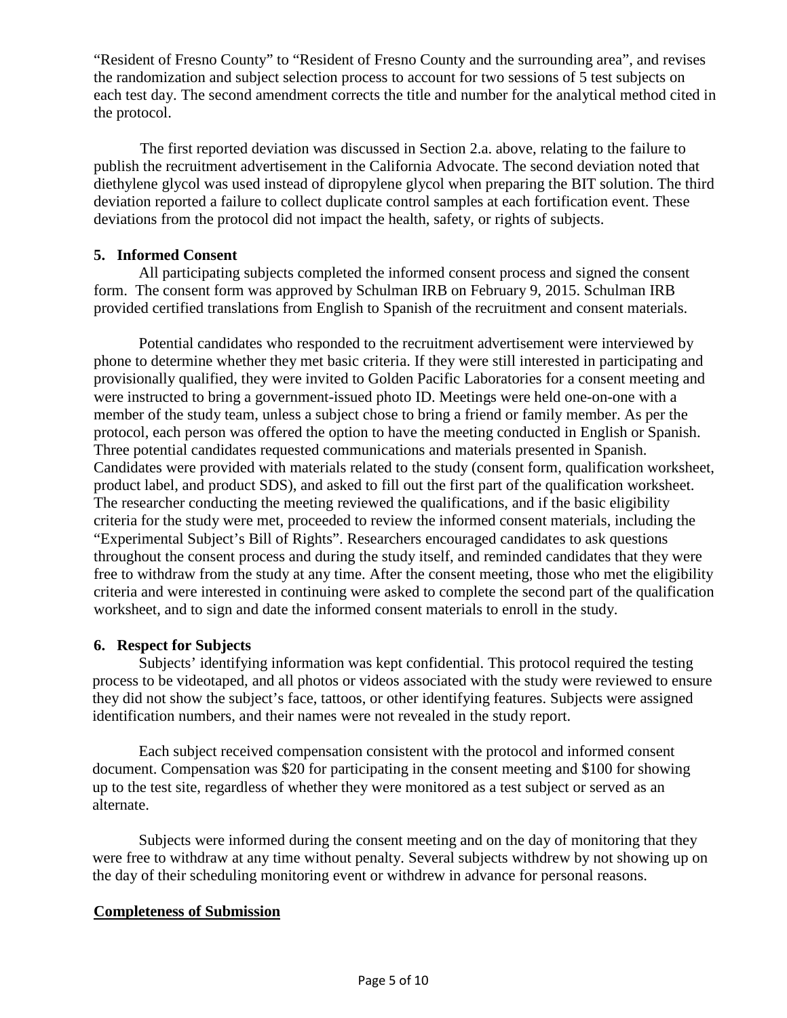"Resident of Fresno County" to "Resident of Fresno County and the surrounding area", and revises the randomization and subject selection process to account for two sessions of 5 test subjects on each test day. The second amendment corrects the title and number for the analytical method cited in the protocol.

The first reported deviation was discussed in Section 2.a. above, relating to the failure to publish the recruitment advertisement in the California Advocate. The second deviation noted that diethylene glycol was used instead of dipropylene glycol when preparing the BIT solution. The third deviation reported a failure to collect duplicate control samples at each fortification event. These deviations from the protocol did not impact the health, safety, or rights of subjects.

#### **5. Informed Consent**

All participating subjects completed the informed consent process and signed the consent form. The consent form was approved by Schulman IRB on February 9, 2015. Schulman IRB provided certified translations from English to Spanish of the recruitment and consent materials.

Potential candidates who responded to the recruitment advertisement were interviewed by phone to determine whether they met basic criteria. If they were still interested in participating and provisionally qualified, they were invited to Golden Pacific Laboratories for a consent meeting and were instructed to bring a government-issued photo ID. Meetings were held one-on-one with a member of the study team, unless a subject chose to bring a friend or family member. As per the protocol, each person was offered the option to have the meeting conducted in English or Spanish. Three potential candidates requested communications and materials presented in Spanish. Candidates were provided with materials related to the study (consent form, qualification worksheet, product label, and product SDS), and asked to fill out the first part of the qualification worksheet. The researcher conducting the meeting reviewed the qualifications, and if the basic eligibility criteria for the study were met, proceeded to review the informed consent materials, including the "Experimental Subject's Bill of Rights". Researchers encouraged candidates to ask questions throughout the consent process and during the study itself, and reminded candidates that they were free to withdraw from the study at any time. After the consent meeting, those who met the eligibility criteria and were interested in continuing were asked to complete the second part of the qualification worksheet, and to sign and date the informed consent materials to enroll in the study.

#### **6. Respect for Subjects**

Subjects' identifying information was kept confidential. This protocol required the testing process to be videotaped, and all photos or videos associated with the study were reviewed to ensure they did not show the subject's face, tattoos, or other identifying features. Subjects were assigned identification numbers, and their names were not revealed in the study report.

Each subject received compensation consistent with the protocol and informed consent document. Compensation was \$20 for participating in the consent meeting and \$100 for showing up to the test site, regardless of whether they were monitored as a test subject or served as an alternate.

Subjects were informed during the consent meeting and on the day of monitoring that they were free to withdraw at any time without penalty. Several subjects withdrew by not showing up on the day of their scheduling monitoring event or withdrew in advance for personal reasons.

#### **Completeness of Submission**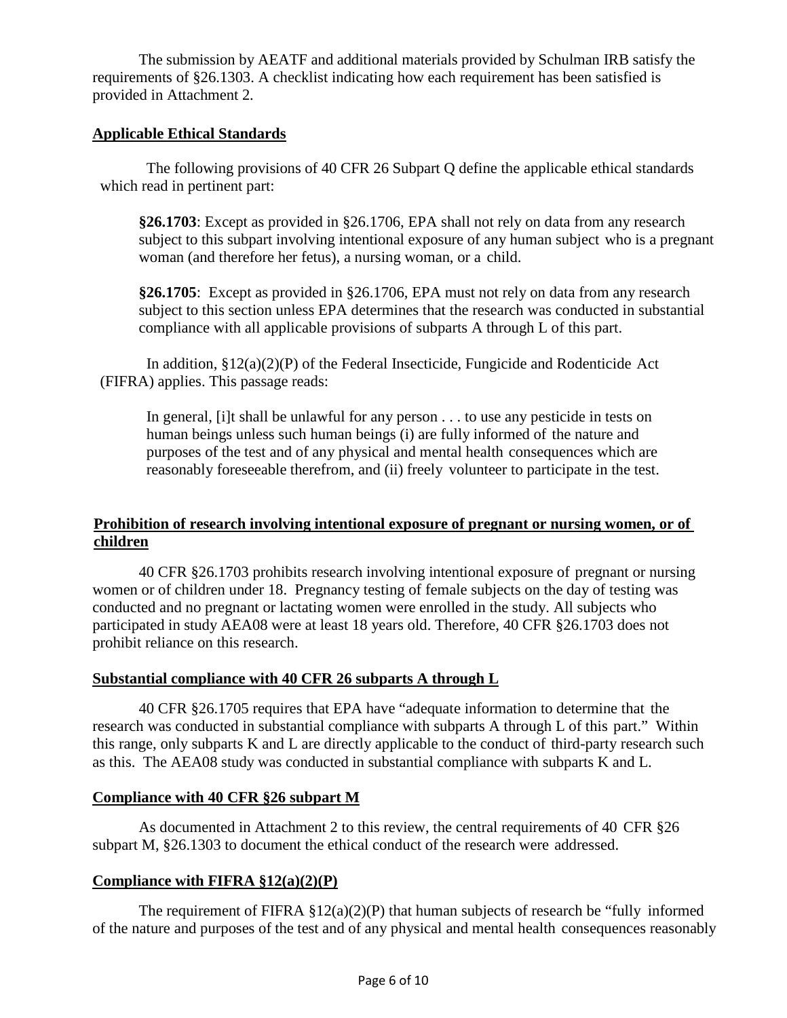The submission by AEATF and additional materials provided by Schulman IRB satisfy the requirements of §26.1303. A checklist indicating how each requirement has been satisfied is provided in Attachment 2.

## **Applicable Ethical Standards**

The following provisions of 40 CFR 26 Subpart Q define the applicable ethical standards which read in pertinent part:

**§26.1703**: Except as provided in §26.1706, EPA shall not rely on data from any research subject to this subpart involving intentional exposure of any human subject who is a pregnant woman (and therefore her fetus), a nursing woman, or a child.

**§26.1705**: Except as provided in §26.1706, EPA must not rely on data from any research subject to this section unless EPA determines that the research was conducted in substantial compliance with all applicable provisions of subparts A through L of this part.

In addition,  $\S 12(a)(2)(P)$  of the Federal Insecticide, Fungicide and Rodenticide Act (FIFRA) applies. This passage reads:

In general, [i]t shall be unlawful for any person . . . to use any pesticide in tests on human beings unless such human beings (i) are fully informed of the nature and purposes of the test and of any physical and mental health consequences which are reasonably foreseeable therefrom, and (ii) freely volunteer to participate in the test.

## **Prohibition of research involving intentional exposure of pregnant or nursing women, or of children**

40 CFR §26.1703 prohibits research involving intentional exposure of pregnant or nursing women or of children under 18. Pregnancy testing of female subjects on the day of testing was conducted and no pregnant or lactating women were enrolled in the study. All subjects who participated in study AEA08 were at least 18 years old. Therefore, 40 CFR §26.1703 does not prohibit reliance on this research.

## **Substantial compliance with 40 CFR 26 subparts A through L**

40 CFR §26.1705 requires that EPA have "adequate information to determine that the research was conducted in substantial compliance with subparts A through L of this part." Within this range, only subparts K and L are directly applicable to the conduct of third-party research such as this. The AEA08 study was conducted in substantial compliance with subparts K and L.

## **Compliance with 40 CFR §26 subpart M**

As documented in Attachment 2 to this review, the central requirements of 40 CFR §26 subpart M, §26.1303 to document the ethical conduct of the research were addressed.

## **Compliance with FIFRA §12(a)(2)(P)**

The requirement of FIFRA  $\S 12(a)(2)(P)$  that human subjects of research be "fully informed" of the nature and purposes of the test and of any physical and mental health consequences reasonably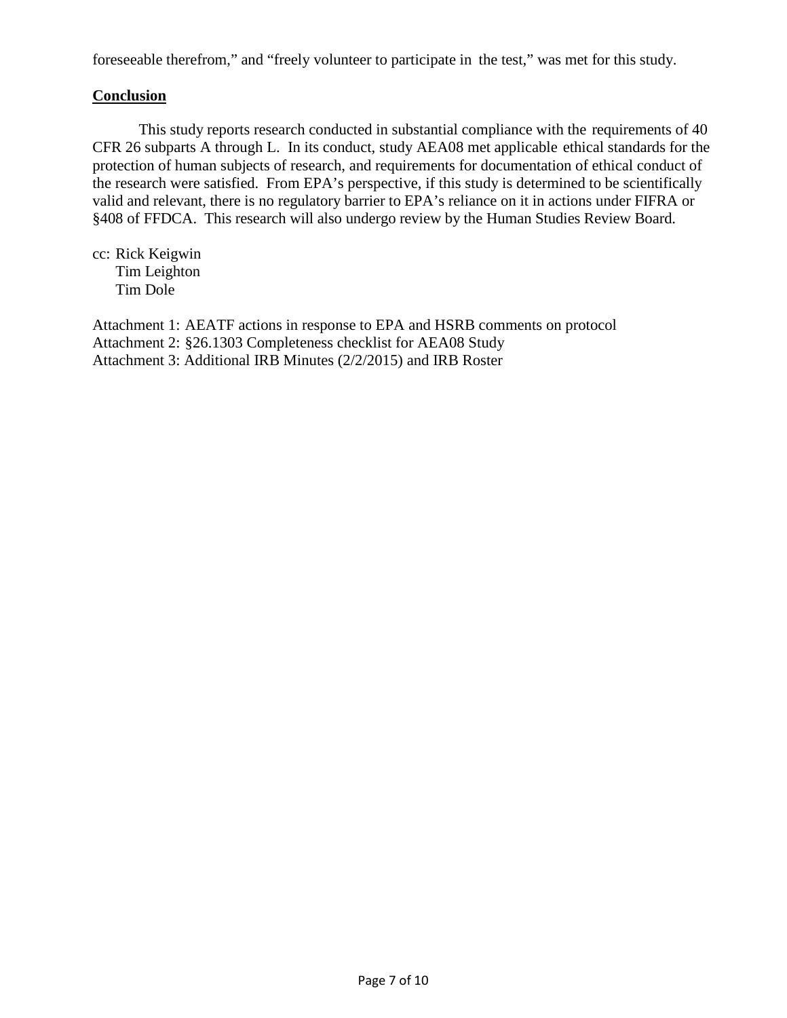foreseeable therefrom," and "freely volunteer to participate in the test," was met for this study.

### **Conclusion**

This study reports research conducted in substantial compliance with the requirements of 40 CFR 26 subparts A through L. In its conduct, study AEA08 met applicable ethical standards for the protection of human subjects of research, and requirements for documentation of ethical conduct of the research were satisfied. From EPA's perspective, if this study is determined to be scientifically valid and relevant, there is no regulatory barrier to EPA's reliance on it in actions under FIFRA or §408 of FFDCA. This research will also undergo review by the Human Studies Review Board.

cc: Rick Keigwin Tim Leighton Tim Dole

Attachment 1: AEATF actions in response to EPA and HSRB comments on protocol Attachment 2: §26.1303 Completeness checklist for AEA08 Study Attachment 3: Additional IRB Minutes (2/2/2015) and IRB Roster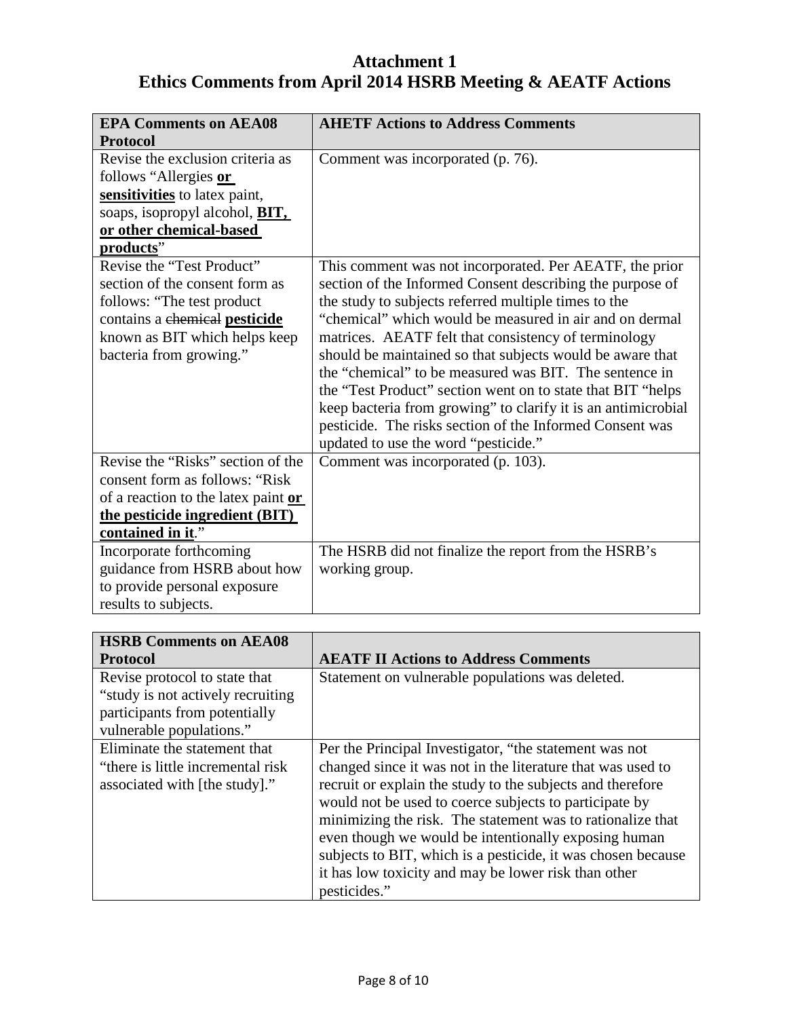# **Attachment 1 Ethics Comments from April 2014 HSRB Meeting & AEATF Actions**

| <b>EPA Comments on AEA08</b>           | <b>AHETF Actions to Address Comments</b>                      |  |  |
|----------------------------------------|---------------------------------------------------------------|--|--|
| <b>Protocol</b>                        |                                                               |  |  |
| Revise the exclusion criteria as       | Comment was incorporated (p. 76).                             |  |  |
| follows "Allergies or                  |                                                               |  |  |
| sensitivities to latex paint,          |                                                               |  |  |
| soaps, isopropyl alcohol, <b>BIT</b> , |                                                               |  |  |
| or other chemical-based                |                                                               |  |  |
| products"                              |                                                               |  |  |
| Revise the "Test Product"              | This comment was not incorporated. Per AEATF, the prior       |  |  |
| section of the consent form as         | section of the Informed Consent describing the purpose of     |  |  |
| follows: "The test product"            | the study to subjects referred multiple times to the          |  |  |
| contains a chemical pesticide          | "chemical" which would be measured in air and on dermal       |  |  |
| known as BIT which helps keep          | matrices. AEATF felt that consistency of terminology          |  |  |
| bacteria from growing."                | should be maintained so that subjects would be aware that     |  |  |
|                                        | the "chemical" to be measured was BIT. The sentence in        |  |  |
|                                        | the "Test Product" section went on to state that BIT "helps"  |  |  |
|                                        | keep bacteria from growing" to clarify it is an antimicrobial |  |  |
|                                        | pesticide. The risks section of the Informed Consent was      |  |  |
|                                        | updated to use the word "pesticide."                          |  |  |
| Revise the "Risks" section of the      | Comment was incorporated (p. 103).                            |  |  |
| consent form as follows: "Risk"        |                                                               |  |  |
| of a reaction to the latex paint or    |                                                               |  |  |
| the pesticide ingredient (BIT)         |                                                               |  |  |
| contained in it."                      |                                                               |  |  |
| Incorporate forthcoming                | The HSRB did not finalize the report from the HSRB's          |  |  |
| guidance from HSRB about how           | working group.                                                |  |  |
| to provide personal exposure           |                                                               |  |  |
| results to subjects.                   |                                                               |  |  |

| <b>HSRB Comments on AEA08</b>                                                                                                    |                                                                                                                                                                                                                                                                                                                                                                                                                                                                                                             |  |  |
|----------------------------------------------------------------------------------------------------------------------------------|-------------------------------------------------------------------------------------------------------------------------------------------------------------------------------------------------------------------------------------------------------------------------------------------------------------------------------------------------------------------------------------------------------------------------------------------------------------------------------------------------------------|--|--|
| <b>Protocol</b>                                                                                                                  | <b>AEATF II Actions to Address Comments</b>                                                                                                                                                                                                                                                                                                                                                                                                                                                                 |  |  |
| Revise protocol to state that<br>"study is not actively recruiting"<br>participants from potentially<br>vulnerable populations." | Statement on vulnerable populations was deleted.                                                                                                                                                                                                                                                                                                                                                                                                                                                            |  |  |
| Eliminate the statement that<br>"there is little incremental risk"<br>associated with [the study]."                              | Per the Principal Investigator, "the statement was not<br>changed since it was not in the literature that was used to<br>recruit or explain the study to the subjects and therefore<br>would not be used to coerce subjects to participate by<br>minimizing the risk. The statement was to rationalize that<br>even though we would be intentionally exposing human<br>subjects to BIT, which is a pesticide, it was chosen because<br>it has low toxicity and may be lower risk than other<br>pesticides." |  |  |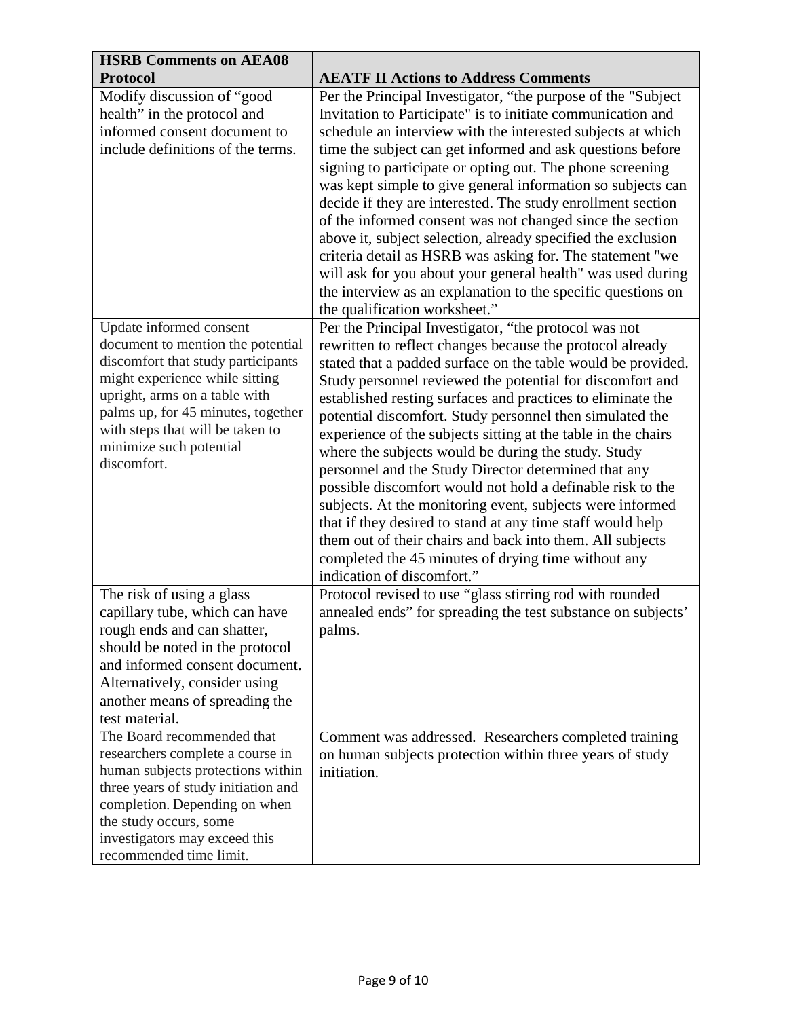| <b>HSRB Comments on AEA08</b>                                           |                                                                                                                         |  |  |  |
|-------------------------------------------------------------------------|-------------------------------------------------------------------------------------------------------------------------|--|--|--|
| <b>Protocol</b>                                                         | <b>AEATF II Actions to Address Comments</b>                                                                             |  |  |  |
| Modify discussion of "good                                              | Per the Principal Investigator, "the purpose of the "Subject"                                                           |  |  |  |
| health" in the protocol and                                             | Invitation to Participate" is to initiate communication and                                                             |  |  |  |
| informed consent document to                                            | schedule an interview with the interested subjects at which                                                             |  |  |  |
| include definitions of the terms.                                       | time the subject can get informed and ask questions before                                                              |  |  |  |
|                                                                         | signing to participate or opting out. The phone screening                                                               |  |  |  |
|                                                                         | was kept simple to give general information so subjects can                                                             |  |  |  |
|                                                                         | decide if they are interested. The study enrollment section                                                             |  |  |  |
|                                                                         | of the informed consent was not changed since the section                                                               |  |  |  |
|                                                                         | above it, subject selection, already specified the exclusion                                                            |  |  |  |
|                                                                         | criteria detail as HSRB was asking for. The statement "we                                                               |  |  |  |
|                                                                         | will ask for you about your general health" was used during                                                             |  |  |  |
|                                                                         | the interview as an explanation to the specific questions on                                                            |  |  |  |
|                                                                         | the qualification worksheet."                                                                                           |  |  |  |
| Update informed consent                                                 | Per the Principal Investigator, "the protocol was not                                                                   |  |  |  |
| document to mention the potential<br>discomfort that study participants | rewritten to reflect changes because the protocol already                                                               |  |  |  |
| might experience while sitting                                          | stated that a padded surface on the table would be provided.                                                            |  |  |  |
| upright, arms on a table with                                           | Study personnel reviewed the potential for discomfort and                                                               |  |  |  |
| palms up, for 45 minutes, together                                      | established resting surfaces and practices to eliminate the<br>potential discomfort. Study personnel then simulated the |  |  |  |
| with steps that will be taken to                                        | experience of the subjects sitting at the table in the chairs                                                           |  |  |  |
| minimize such potential                                                 | where the subjects would be during the study. Study                                                                     |  |  |  |
| discomfort.                                                             | personnel and the Study Director determined that any                                                                    |  |  |  |
|                                                                         | possible discomfort would not hold a definable risk to the                                                              |  |  |  |
|                                                                         | subjects. At the monitoring event, subjects were informed                                                               |  |  |  |
|                                                                         | that if they desired to stand at any time staff would help                                                              |  |  |  |
|                                                                         | them out of their chairs and back into them. All subjects                                                               |  |  |  |
|                                                                         | completed the 45 minutes of drying time without any                                                                     |  |  |  |
|                                                                         | indication of discomfort."                                                                                              |  |  |  |
| The risk of using a glass                                               | Protocol revised to use "glass stirring rod with rounded                                                                |  |  |  |
| capillary tube, which can have                                          | annealed ends" for spreading the test substance on subjects'                                                            |  |  |  |
| rough ends and can shatter,                                             | palms.                                                                                                                  |  |  |  |
| should be noted in the protocol                                         |                                                                                                                         |  |  |  |
| and informed consent document.                                          |                                                                                                                         |  |  |  |
| Alternatively, consider using                                           |                                                                                                                         |  |  |  |
| another means of spreading the                                          |                                                                                                                         |  |  |  |
| test material.                                                          |                                                                                                                         |  |  |  |
| The Board recommended that                                              | Comment was addressed. Researchers completed training                                                                   |  |  |  |
| researchers complete a course in                                        | on human subjects protection within three years of study                                                                |  |  |  |
| human subjects protections within                                       | initiation.                                                                                                             |  |  |  |
| three years of study initiation and                                     |                                                                                                                         |  |  |  |
| completion. Depending on when                                           |                                                                                                                         |  |  |  |
| the study occurs, some                                                  |                                                                                                                         |  |  |  |
| investigators may exceed this<br>recommended time limit.                |                                                                                                                         |  |  |  |
|                                                                         |                                                                                                                         |  |  |  |